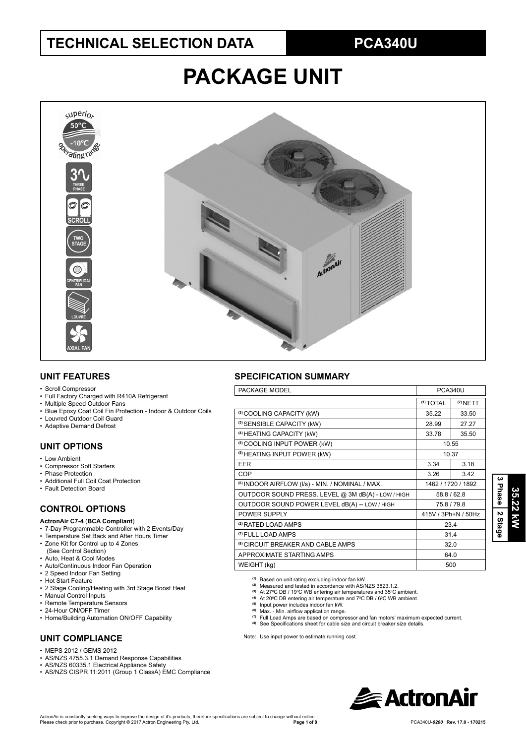# **TECHNICAL SELECTION DATA PCA340U**

# **PACKAGE UNIT**



#### **UNIT FEATURES**

#### • Scroll Compressor

- Full Factory Charged with R410A Refrigerant
- Multiple Speed Outdoor Fans
- Blue Epoxy Coat Coil Fin Protection Indoor & Outdoor Coils
- Louvred Outdoor Coil Guard
- Adaptive Demand Defrost

#### **UNIT OPTIONS**

- Low Ambient
- Compressor Soft Starters
- Phase Protection
- Additional Full Coil Coat Protection
- Fault Detection Board

#### **CONTROL OPTIONS**

#### **ActronAir C7-4** (**BCA Compliant**)

- 7-Day Programmable Controller with 2 Events/Day
- Temperature Set Back and After Hours Timer
- Zone Kit for Control up to 4 Zones (See Control Section)
- Auto, Heat & Cool Modes
- Auto/Continuous Indoor Fan Operation
- 2 Speed Indoor Fan Setting
- Hot Start Feature
- 2 Stage Cooling/Heating with 3rd Stage Boost Heat
- Manual Control Inputs
- Remote Temperature Sensors
- 24-Hour ON/OFF Timer
- Home/Building Automation ON/OFF Capability

#### **UNIT COMPLIANCE**

- $\cdot$  MEPS 2012 / GEMS 2012
- AS/NZS 4755.3.1 Demand Response Capabilities
- AS/NZS 60335.1 Electrical Appliance Safety
- AS/NZS CISPR 11:2011 (Group 1 ClassA) EMC Compliance

### **SPECIFICATION SUMMARY**

| PACKAGE MODEL<br><b>PCA340U</b>                             |                      |            |  |
|-------------------------------------------------------------|----------------------|------------|--|
|                                                             | <sup>(1)</sup> TOTAL | $(2)$ NETT |  |
| (3) COOLING CAPACITY (kW)                                   | 35.22                | 33.50      |  |
| (3) SENSIBLE CAPACITY (kW)                                  | 28.99                | 27.27      |  |
| <sup>(4)</sup> HEATING CAPACITY (kW)                        | 33.78                | 35.50      |  |
| <sup>(5)</sup> COOLING INPUT POWER (kW)                     | 10.55                |            |  |
| <sup>(5)</sup> HEATING INPUT POWER (kW)                     | 10.37                |            |  |
| <b>EER</b>                                                  | 3.34                 | 3.18       |  |
| <b>COP</b>                                                  | 3.26                 | 3.42       |  |
| <sup>(6)</sup> INDOOR AIRFLOW (I/s) - MIN. / NOMINAL / MAX. | 1462 / 1720 / 1892   |            |  |
| OUTDOOR SOUND PRESS. LEVEL @ 3M dB(A) - LOW / HIGH          | 58.8 / 62.8          |            |  |
| OUTDOOR SOUND POWER LEVEL dB(A) -- LOW / HIGH               | 75.8 / 79.8          |            |  |
| POWER SUPPLY                                                | 415V / 3Ph+N / 50Hz  |            |  |
| <sup>(2)</sup> RATED LOAD AMPS                              | 23.4                 |            |  |
| <sup>(7)</sup> FULL LOAD AMPS                               | 31.4                 |            |  |
| <sup>(8)</sup> CIRCUIT BREAKER AND CABLE AMPS               | 32.0                 |            |  |
| APPROXIMATE STARTING AMPS                                   | 64.0                 |            |  |
| WEIGHT (kg)                                                 | 500                  |            |  |

**(1)** Based on unit rating excluding indoor fan kW. **(2)** Measured and tested in accordance with AS/NZS 3823.1.2.

- 
- <sup>(3)</sup> At 27ºC DB / 19ºC WB entering air temperatures and 35ºC ambient.<br><sup>(4)</sup> At 20ºC DB entering air temperature and 7ºC DB / 6ºC WB ambient.<br><sup>(5)</sup> Input power includes indoor fan kW.
- 
- 
- <sup>(6)</sup> Max. Min. airflow application range.<br><sup>(7)</sup> Full Load Amps are based on compressor and fan motors' maximum expected current.
- <sup>(8)</sup> See Specifications sheet for cable size and circuit breaker size details.

Note: Use input power to estimate running cost.

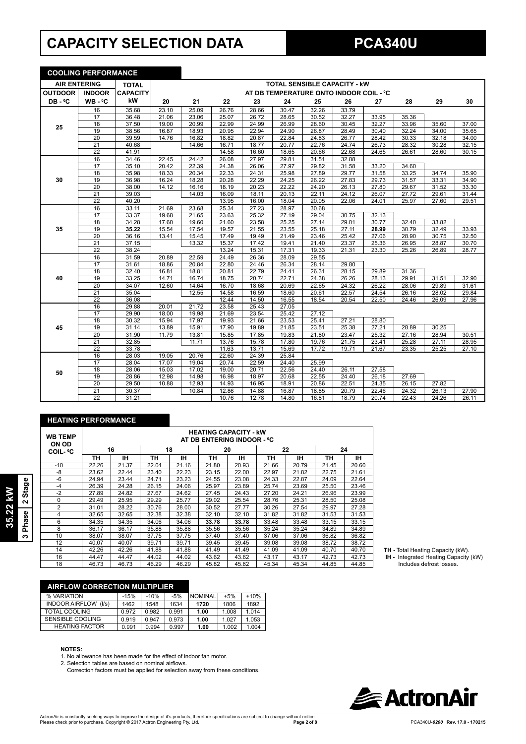# **CAPACITY SELECTION DATA PCA340U**

**COOLING PERFORMANCE**

| <u>UUULINU PERFURMANUE</u>          |                 |                 |       |       |       |       |       |                                         |       |       |       |       |       |
|-------------------------------------|-----------------|-----------------|-------|-------|-------|-------|-------|-----------------------------------------|-------|-------|-------|-------|-------|
| <b>AIR ENTERING</b><br><b>TOTAL</b> |                 |                 |       |       |       |       |       | <b>TOTAL SENSIBLE CAPACITY - KW</b>     |       |       |       |       |       |
| <b>OUTDOOR</b>                      | <b>INDOOR</b>   | <b>CAPACITY</b> |       |       |       |       |       | AT DB TEMPERATURE ONTO INDOOR COIL - °C |       |       |       |       |       |
| DB-°C                               | WB-°C           | kW              | 20    | 21    | 22    | 23    | 24    | 25                                      | 26    | 27    | 28    | 29    | 30    |
|                                     | 16              | 35.68           | 23.10 | 25.09 | 26.76 | 28.66 | 30.47 | 32.26                                   | 33.79 |       |       |       |       |
|                                     | 17              | 36.48           | 21.06 | 23.06 | 25.07 | 26.72 | 28.65 | 30.52                                   | 32.27 | 33.95 | 35.36 |       |       |
| 25                                  | 18              | 37.50           | 19.00 | 20.99 | 22.99 | 24.99 | 26.99 | 28.60                                   | 30.45 | 32.27 | 33.96 | 35.60 | 37.00 |
|                                     | 19              | 38.56           | 16.87 | 18.93 | 20.95 | 22.94 | 24.90 | 26.87                                   | 28.49 | 30.40 | 32.24 | 34.00 | 35.65 |
|                                     | $\overline{20}$ | 39.59           | 14.76 | 16.82 | 18.82 | 20.87 | 22.84 | 24.83                                   | 26.77 | 28.42 | 30.33 | 32.18 | 34.00 |
|                                     | $\overline{21}$ | 40.68           |       | 14.66 | 16.71 | 18.77 | 20.77 | 22.76                                   | 24.74 | 26.73 | 28.32 | 30.28 | 32.15 |
|                                     | 22              | 41.91           |       |       | 14.58 | 16.60 | 18.65 | 20.66                                   | 22.68 | 24.65 | 26.61 | 28.60 | 30.15 |
|                                     | 16              | 34.46           | 22.45 | 24.42 | 26.08 | 27.97 | 29.81 | 31.51                                   | 32.88 |       |       |       |       |
|                                     | 17              | 35.10           | 20.42 | 22.39 | 24.38 | 26.06 | 27.97 | 29.82                                   | 31.58 | 33.20 | 34.60 |       |       |
|                                     | $\overline{18}$ | 35.98           | 18.33 | 20.34 | 22.33 | 24.31 | 25.98 | 27.89                                   | 29.77 | 31.58 | 33.25 | 34.74 | 35.90 |
| 30                                  | 19              | 36.98           | 16.24 | 18.28 | 20.28 | 22.29 | 24.25 | 26.22                                   | 27.83 | 29.73 | 31.57 | 33.31 | 34.90 |
|                                     | 20              | 38.00           | 14.12 | 16.16 | 18.19 | 20.23 | 22.22 | 24.20                                   | 26.13 | 27.80 | 29.67 | 31.52 | 33.30 |
|                                     | 21              | 39.03           |       | 14.03 | 16.09 | 18.11 | 20.13 | 22.11                                   | 24.12 | 26.07 | 27.72 | 29.61 | 31.44 |
|                                     | $\overline{22}$ | 40.20           |       |       | 13.95 | 16.00 | 18.04 | 20.05                                   | 22.06 | 24.01 | 25.97 | 27.60 | 29.51 |
|                                     | 16              | 33.11           | 21.69 | 23.68 | 25.34 | 27.23 | 28.97 | 30.68                                   |       |       |       |       |       |
|                                     | 17              | 33.37           | 19.68 | 21.65 | 23.63 | 25.32 | 27.19 | 29.04                                   | 30.75 | 32.13 |       |       |       |
|                                     | 18              | 34.28           | 17.60 | 19.60 | 21.60 | 23.58 | 25.25 | 27.14                                   | 29.01 | 30.77 | 32.40 | 33.82 |       |
| 35                                  | 19              | 35.22           | 15.54 | 17.54 | 19.57 | 21.55 | 23.55 | 25.18                                   | 27.11 | 28.99 | 30.79 | 32.49 | 33.93 |
|                                     | $\overline{20}$ | 36.16           | 13.41 | 15.45 | 17.49 | 19.49 | 21.49 | 23.46                                   | 25.42 | 27.06 | 28.90 | 30.75 | 32.50 |
|                                     | 21              | 37.15           |       | 13.32 | 15.37 | 17.42 | 19.41 | 21.40                                   | 23.37 | 25.36 | 26.95 | 28.87 | 30.70 |
|                                     | $\overline{22}$ | 38.24           |       |       | 13.24 | 15.31 | 17.31 | 19.33                                   | 21.31 | 23.30 | 25.26 | 26.89 | 28.77 |
|                                     | 16              | 31.59           | 20.89 | 22.59 | 24.49 | 26.36 | 28.09 | 29.55                                   |       |       |       |       |       |
|                                     | 17              | 31.61           | 18.86 | 20.84 | 22.80 | 24.46 | 26.34 | 28.14                                   | 29.80 |       |       |       |       |
|                                     | 18              | 32.40           | 16.81 | 18.81 | 20.81 | 22.79 | 24.41 | 26.31                                   | 28.15 | 29.89 | 31.36 |       |       |
| 40                                  | 19              | 33.25           | 14.71 | 16.74 | 18.75 | 20.74 | 22.71 | 24.38                                   | 26.26 | 28.13 | 29.91 | 31.51 | 32.90 |
|                                     | $\overline{20}$ | 34.07           | 12.60 | 14.64 | 16.70 | 18.68 | 20.69 | 22.65                                   | 24.32 | 26.22 | 28.06 | 29.89 | 31.61 |
|                                     | 21              | 35.04           |       | 12.55 | 14.58 | 16.59 | 18.60 | 20.61                                   | 22.57 | 24.54 | 26.16 | 28.02 | 29.84 |
|                                     | $\overline{22}$ | 36.08           |       |       | 12.44 | 14.50 | 16.55 | 18.54                                   | 20.54 | 22.50 | 24.46 | 26.09 | 27.96 |
|                                     | 16              | 29.88           | 20.01 | 21.72 | 23.58 | 25.43 | 27.05 |                                         |       |       |       |       |       |
|                                     | $\overline{17}$ | 29.90           | 18.00 | 19.98 | 21.69 | 23.54 | 25.42 | 27.12                                   |       |       |       |       |       |
|                                     | 18              | 30.32           | 15.94 | 17.97 | 19.93 | 21.66 | 23.53 | 25.41                                   | 27.21 | 28.80 |       |       |       |
| 45                                  | 19              | 31.14           | 13.89 | 15.91 | 17.90 | 19.89 | 21.85 | 23.51                                   | 25.38 | 27.21 | 28.89 | 30.25 |       |
|                                     | 20              | 31.90           | 11.79 | 13.81 | 15.85 | 17.85 | 19.83 | 21.80                                   | 23.47 | 25.32 | 27.16 | 28.94 | 30.51 |
|                                     | 21              | 32.85           |       | 11.71 | 13.76 | 15.78 | 17.80 | 19.76                                   | 21.75 | 23.41 | 25.28 | 27.11 | 28.95 |
|                                     | $\overline{22}$ | 33.78           |       |       | 11.63 | 13.71 | 15.69 | 17.72                                   | 19.71 | 21.67 | 23.35 | 25.25 | 27.10 |
|                                     | 16              | 28.03           | 19.05 | 20.76 | 22.60 | 24.39 | 25.84 |                                         |       |       |       |       |       |
|                                     | 17              | 28.04           | 17.07 | 19.04 | 20.74 | 22.59 | 24.40 | 25.99                                   |       |       |       |       |       |
|                                     | 18              | 28.06           | 15.03 | 17.02 | 19.00 | 20.71 | 22.56 | 24.40                                   | 26.11 | 27.58 |       |       |       |
| 50                                  | 19              | 28.86           | 12.98 | 14.98 | 16.98 | 18.97 | 20.68 | 22.55                                   | 24.40 | 26.18 | 27.69 |       |       |
|                                     | $\overline{20}$ | 29.50           | 10.88 | 12.93 | 14.93 | 16.95 | 18.91 | 20.86                                   | 22.51 | 24.35 | 26.15 | 27.82 |       |
|                                     | $\overline{21}$ | 30.37           |       | 10.84 | 12.86 | 14.88 | 16.87 | 18.85                                   | 20.79 | 22.46 | 24.32 | 26.13 | 27.90 |
|                                     | $\overline{22}$ | 31.21           |       |       | 10.76 | 12.78 | 14.80 | 16.81                                   | 18.79 | 20.74 | 22.43 | 24.26 | 26.11 |

## **HEATING PERFORMANCE**

| <b>WB TEMP</b><br>ON OD | <b>HEATING CAPACITY - kW</b><br>AT DB ENTERING INDOOR - °C |       |       |       |       |       |       |       |       |       |
|-------------------------|------------------------------------------------------------|-------|-------|-------|-------|-------|-------|-------|-------|-------|
| <b>COIL-</b> °C         |                                                            | 16    |       | 18    | 20    |       | 22    |       | 24    |       |
|                         | TН                                                         | IН    | TН    | ΙH    | ΤН    | IΗ    | ΤН    | IН    | TН    | ıн    |
| $-10$                   | 22.26                                                      | 21.37 | 22.04 | 21.16 | 21.80 | 20.93 | 21.66 | 20.79 | 21.45 | 20.60 |
| -8                      | 23.62                                                      | 22.44 | 23.40 | 22.23 | 23.15 | 22.00 | 22.97 | 21.82 | 22.75 | 21.61 |
| $-6$                    | 24.94                                                      | 23.44 | 24.71 | 23.23 | 24.55 | 23.08 | 24.33 | 22.87 | 24.09 | 22.64 |
| $-4$                    | 26.39                                                      | 24.28 | 26.15 | 24.06 | 25.97 | 23.89 | 25.74 | 23.69 | 25.50 | 23.46 |
| $-2$                    | 27.89                                                      | 24.82 | 27.67 | 24.62 | 27.45 | 24.43 | 27.20 | 24.21 | 26.96 | 23.99 |
| 0                       | 29.49                                                      | 25.95 | 29.29 | 25.77 | 29.02 | 25.54 | 28.76 | 25.31 | 28.50 | 25.08 |
| $\overline{2}$          | 31.01                                                      | 28.22 | 30.76 | 28.00 | 30.52 | 27.77 | 30.26 | 27.54 | 29.97 | 27.28 |
| 4                       | 32.65                                                      | 32.65 | 32.38 | 32.38 | 32.10 | 32.10 | 31.82 | 31.82 | 31.53 | 31.53 |
| 6                       | 34.35                                                      | 34.35 | 34.06 | 34.06 | 33.78 | 33.78 | 33.48 | 33.48 | 33.15 | 33.15 |
| 8                       | 36.17                                                      | 36.17 | 35.88 | 35.88 | 35.56 | 35.56 | 35.24 | 35.24 | 34.89 | 34.89 |
| 10                      | 38.07                                                      | 38.07 | 37.75 | 37.75 | 37.40 | 37.40 | 37.06 | 37.06 | 36.82 | 36.82 |
| 12                      | 40.07                                                      | 40.07 | 39.71 | 39.71 | 39.45 | 39.45 | 39.08 | 39.08 | 38.72 | 38.72 |
| 14                      | 42.26                                                      | 42.26 | 41.88 | 41.88 | 41.49 | 41.49 | 41.09 | 41.09 | 40.70 | 40.70 |
| 16                      | 44.47                                                      | 44.47 | 44.02 | 44.02 | 43.62 | 43.62 | 43.17 | 43.17 | 42.73 | 42.73 |
| 18                      | 46.73                                                      | 46.73 | 46.29 | 46.29 | 45.82 | 45.82 | 45.34 | 45.34 | 44.85 | 44.85 |

**TH -** Total Heating Capacity (kW).

 **IH -** Integrated Heating Capacity (kW) Includes defrost losses.

# **AIRFLOW CORRECTION MULTIPLIER**

| % VARIATION                    | $-15%$ | $-10%$ | $-5%$ | <b>NOMINAL</b> | $+5%$ | $+10%$ |
|--------------------------------|--------|--------|-------|----------------|-------|--------|
| <b>INDOOR AIRFLOW</b><br>(1/s) | 1462   | 1548   | 1634  | 1720           | 1806  | 1892   |
| <b>TOTAL COOLING</b>           | 0.972  | 0.982  | 0.991 | 1.00           | 1.008 | 1.014  |
| SENSIBLE COOLING               | 0.919  | 0.947  | 0.973 | 1.00           | 1.027 | 1.053  |
| <b>HEATING FACTOR</b>          | 0.991  | 0.994  | 0.997 | 1.00           | 1.002 | 1.004  |
|                                |        |        |       |                |       |        |

#### **NOTES:**

1. No allowance has been made for the effect of indoor fan motor.<br>2. Selection tables are based on nominal airflows.

Correction factors must be applied for selection away from these conditions.

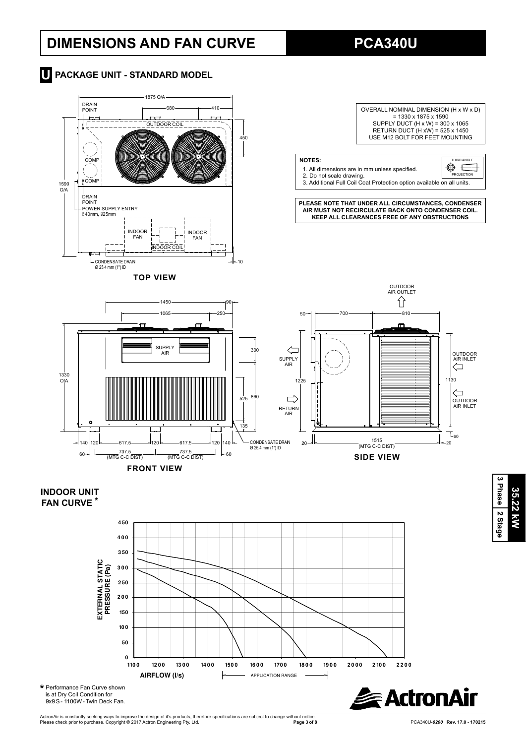# **DIMENSIONS AND FAN CURVE PCA340U**





### **INDOOR UNIT FAN CURVE \***





ActronAir is constantly seeking ways to improve the design of it's products, therefore specifications are subject to change without notice.<br>Please check prior to purchase. Copyright © 2017 Actron Engineering Pty. Ltd.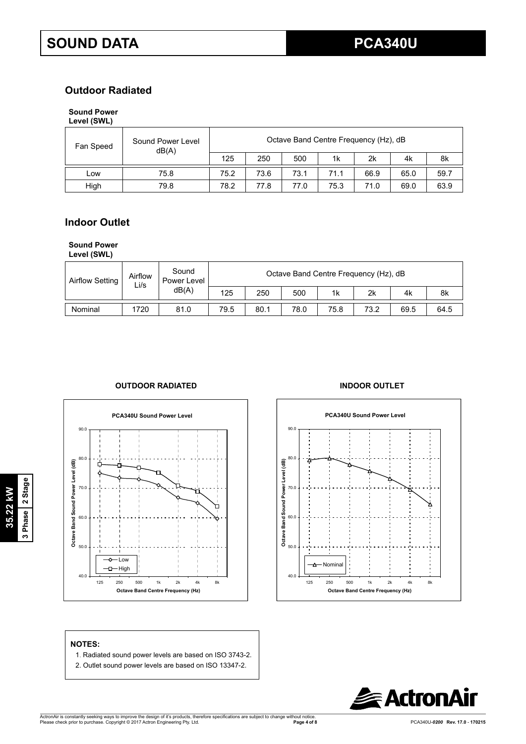## **Outdoor Radiated**

## **Sound Power**

| Level (SWL) |  |
|-------------|--|
|-------------|--|

| Fan Speed | Sound Power Level<br>dB(A) | Octave Band Centre Frequency (Hz), dB |      |      |      |      |      |      |  |
|-----------|----------------------------|---------------------------------------|------|------|------|------|------|------|--|
|           |                            | 125                                   | 250  | 500  | 1k   | 2k   | 4k   | 8k   |  |
| LOW       | 75.8                       | 75.2                                  | 73.6 | 73.1 | 71.1 | 66.9 | 65.0 | 59.7 |  |
| High      | 79.8                       | 78.2                                  | 77.8 | 77.0 | 75.3 | 71.0 | 69.0 | 63.9 |  |

## **Indoor Outlet**

#### **Sound Power**

**Level (SWL)**

| <b>Airflow Setting</b> | Airflow<br>Li/s | Sound<br>Power Level | Octave Band Centre Frequency (Hz), dB |      |      |      |      |      |      |  |
|------------------------|-----------------|----------------------|---------------------------------------|------|------|------|------|------|------|--|
|                        |                 | dB(A)                | 125                                   | 250  | 500  | 1k   | 2k   | 4k   | 8k   |  |
| Nominal                | 1720            | 81.0                 | 79.5                                  | 80.1 | 78.0 | 75.8 | 73.2 | 69.5 | 64.5 |  |

### **OUTDOOR RADIATED INDOOR OUTLET**





#### **NOTES:**

- 1. Radiated sound power levels are based on ISO 3743-2.
- 2. Outlet sound power levels are based on ISO 13347-2.

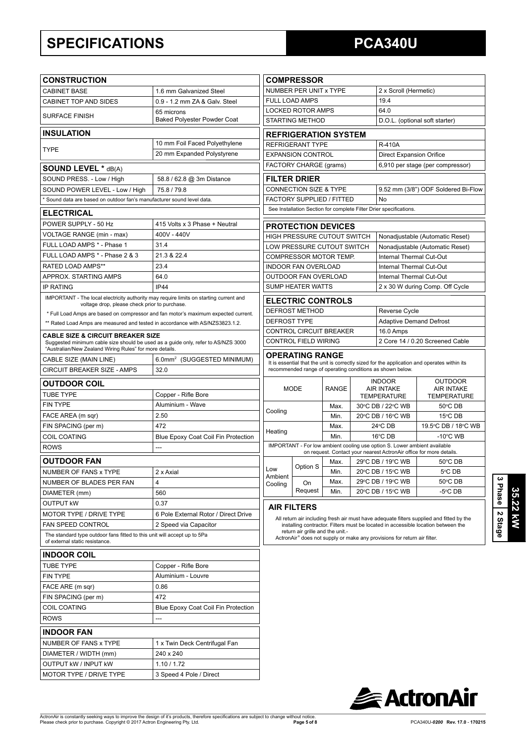# **SPECIFICATIONS PCA340U**

| <b>CONSTRUCTION</b>                                                                                                                                                                          |                                            |                                                          | <b>COMPRESSOR</b>                                        |              |                   |                                                                           |                                                                                                                                                                               |  |
|----------------------------------------------------------------------------------------------------------------------------------------------------------------------------------------------|--------------------------------------------|----------------------------------------------------------|----------------------------------------------------------|--------------|-------------------|---------------------------------------------------------------------------|-------------------------------------------------------------------------------------------------------------------------------------------------------------------------------|--|
| <b>CABINET BASE</b>                                                                                                                                                                          | 1.6 mm Galvanized Steel                    |                                                          | NUMBER PER UNIT x TYPE                                   |              |                   | 2 x Scroll (Hermetic)                                                     |                                                                                                                                                                               |  |
| CABINET TOP AND SIDES                                                                                                                                                                        | 0.9 - 1.2 mm ZA & Galv. Steel              |                                                          | <b>FULL LOAD AMPS</b>                                    |              |                   | 19.4                                                                      |                                                                                                                                                                               |  |
| <b>SURFACE FINISH</b>                                                                                                                                                                        | 65 microns                                 | <b>LOCKED ROTOR AMPS</b>                                 |                                                          |              |                   | 64.0                                                                      |                                                                                                                                                                               |  |
| <b>Baked Polyester Powder Coat</b>                                                                                                                                                           |                                            | <b>STARTING METHOD</b><br>D.O.L. (optional soft starter) |                                                          |              |                   |                                                                           |                                                                                                                                                                               |  |
| <b>INSULATION</b>                                                                                                                                                                            |                                            |                                                          | <b>REFRIGERATION SYSTEM</b>                              |              |                   |                                                                           |                                                                                                                                                                               |  |
|                                                                                                                                                                                              | 10 mm Foil Faced Polyethylene              |                                                          | <b>REFRIGERANT TYPE</b>                                  |              |                   | <b>R-410A</b>                                                             |                                                                                                                                                                               |  |
| <b>TYPE</b>                                                                                                                                                                                  | 20 mm Expanded Polystyrene                 |                                                          | <b>EXPANSION CONTROL</b>                                 |              |                   | <b>Direct Expansion Orifice</b>                                           |                                                                                                                                                                               |  |
| <b>SOUND LEVEL * dB(A)</b>                                                                                                                                                                   |                                            |                                                          | FACTORY CHARGE (grams)                                   |              |                   |                                                                           | 6,910 per stage (per compressor)                                                                                                                                              |  |
| SOUND PRESS. - Low / High                                                                                                                                                                    | 58.8 / 62.8 @ 3m Distance                  |                                                          | <b>FILTER DRIER</b>                                      |              |                   |                                                                           |                                                                                                                                                                               |  |
| SOUND POWER LEVEL - Low / High                                                                                                                                                               | 75.8/79.8                                  |                                                          | <b>CONNECTION SIZE &amp; TYPE</b>                        |              |                   |                                                                           | 9.52 mm (3/8") ODF Soldered Bi-Flow                                                                                                                                           |  |
| Sound data are based on outdoor fan's manufacturer sound level data.                                                                                                                         |                                            |                                                          | <b>FACTORY SUPPLIED / FITTED</b>                         |              |                   | No                                                                        |                                                                                                                                                                               |  |
| <b>ELECTRICAL</b>                                                                                                                                                                            |                                            |                                                          |                                                          |              |                   | See Installation Section for complete Filter Drier specifications.        |                                                                                                                                                                               |  |
| POWER SUPPLY - 50 Hz                                                                                                                                                                         | 415 Volts x 3 Phase + Neutral              |                                                          |                                                          |              |                   |                                                                           |                                                                                                                                                                               |  |
| VOLTAGE RANGE (min - max)                                                                                                                                                                    | 400V - 440V                                |                                                          | <b>PROTECTION DEVICES</b><br>HIGH PRESSURE CUTOUT SWITCH |              |                   |                                                                           |                                                                                                                                                                               |  |
| FULL LOAD AMPS * - Phase 1                                                                                                                                                                   | 31.4                                       |                                                          | LOW PRESSURE CUTOUT SWITCH                               |              |                   |                                                                           | Nonadjustable (Automatic Reset)<br>Nonadjustable (Automatic Reset)                                                                                                            |  |
| FULL LOAD AMPS * - Phase 2 & 3                                                                                                                                                               | 21.3 & 22.4                                |                                                          | <b>COMPRESSOR MOTOR TEMP.</b>                            |              |                   | <b>Internal Thermal Cut-Out</b>                                           |                                                                                                                                                                               |  |
| <b>RATED LOAD AMPS**</b>                                                                                                                                                                     | 23.4                                       |                                                          | <b>INDOOR FAN OVERLOAD</b>                               |              |                   | Internal Thermal Cut-Out                                                  |                                                                                                                                                                               |  |
| APPROX. STARTING AMPS                                                                                                                                                                        | 64.0                                       |                                                          | OUTDOOR FAN OVERLOAD                                     |              |                   | Internal Thermal Cut-Out                                                  |                                                                                                                                                                               |  |
| <b>IP RATING</b>                                                                                                                                                                             | <b>IP44</b>                                |                                                          | <b>SUMP HEATER WATTS</b>                                 |              |                   |                                                                           | 2 x 30 W during Comp. Off Cycle                                                                                                                                               |  |
| IMPORTANT - The local electricity authority may require limits on starting current and                                                                                                       |                                            |                                                          | <b>ELECTRIC CONTROLS</b>                                 |              |                   |                                                                           |                                                                                                                                                                               |  |
| voltage drop, please check prior to purchase.                                                                                                                                                |                                            |                                                          | <b>DEFROST METHOD</b>                                    |              |                   | Reverse Cycle                                                             |                                                                                                                                                                               |  |
| * Full Load Amps are based on compressor and fan motor's maximum expected current.<br>** Rated Load Amps are measured and tested in accordance with AS/NZS3823.1.2.                          |                                            | <b>DEFROST TYPE</b>                                      |                                                          |              |                   | <b>Adaptive Demand Defrost</b>                                            |                                                                                                                                                                               |  |
|                                                                                                                                                                                              |                                            |                                                          | CONTROL CIRCUIT BREAKER                                  |              |                   | 16.0 Amps                                                                 |                                                                                                                                                                               |  |
| <b>CABLE SIZE &amp; CIRCUIT BREAKER SIZE</b><br>Suggested minimum cable size should be used as a guide only, refer to AS/NZS 3000<br>"Australian/New Zealand Wiring Rules" for more details. |                                            |                                                          | <b>CONTROL FIELD WIRING</b>                              |              |                   |                                                                           | 2 Core 14 / 0.20 Screened Cable                                                                                                                                               |  |
| CABLE SIZE (MAIN LINE)                                                                                                                                                                       | 6.0mm <sup>2</sup> (SUGGESTED MINIMUM)     |                                                          | <b>OPERATING RANGE</b>                                   |              |                   |                                                                           |                                                                                                                                                                               |  |
| CIRCUIT BREAKER SIZE - AMPS                                                                                                                                                                  | 32.0                                       |                                                          |                                                          |              |                   | recommended range of operating conditions as shown below.                 | It is essential that the unit is correctly sized for the application and operates within its                                                                                  |  |
| <b>OUTDOOR COIL</b>                                                                                                                                                                          |                                            |                                                          |                                                          |              |                   | <b>INDOOR</b>                                                             | <b>OUTDOOR</b>                                                                                                                                                                |  |
| <b>TUBE TYPE</b>                                                                                                                                                                             | Copper - Rifle Bore                        |                                                          | <b>MODE</b>                                              | <b>RANGE</b> |                   | <b>AIR INTAKE</b>                                                         | <b>AIR INTAKE</b>                                                                                                                                                             |  |
| <b>FIN TYPE</b>                                                                                                                                                                              | Aluminium - Wave                           |                                                          |                                                          | Max.         |                   | <b>TEMPERATURE</b><br>30°C DB / 22°C WB                                   | <b>TEMPERATURE</b><br>50°C DB                                                                                                                                                 |  |
| FACE AREA (m sqr)                                                                                                                                                                            | 2.50                                       | Cooling                                                  |                                                          | Min.         |                   | 20°C DB / 16°C WB                                                         | 15°C DB                                                                                                                                                                       |  |
| FIN SPACING (per m)                                                                                                                                                                          | 472                                        |                                                          |                                                          | Max.         | $24^{\circ}$ CDB  |                                                                           | 19.5°C DB / 18°C WB                                                                                                                                                           |  |
| <b>COIL COATING</b>                                                                                                                                                                          | Blue Epoxy Coat Coil Fin Protection        | Heating                                                  |                                                          | Min.         | 16°C DB           |                                                                           | $-10^{\circ}$ C WB                                                                                                                                                            |  |
| <b>ROWS</b>                                                                                                                                                                                  | ---                                        |                                                          |                                                          |              |                   | IMPORTANT - For low ambient cooling use option S. Lower ambient available |                                                                                                                                                                               |  |
| <b>OUTDOOR FAN</b>                                                                                                                                                                           |                                            |                                                          |                                                          | Max.         |                   | 29°C DB / 19°C WB                                                         | on request. Contact your nearest ActronAir office for more details.<br>50°C DB                                                                                                |  |
| NUMBER OF FANS x TYPE                                                                                                                                                                        | 2 x Axial                                  | Low                                                      | Option S                                                 | Min.         | 20°C DB / 15°C WB |                                                                           | 5°C DB                                                                                                                                                                        |  |
| NUMBER OF BLADES PER FAN                                                                                                                                                                     | 4                                          | Ambient                                                  | On                                                       | Max.         |                   | 29°C DB / 19°C WB                                                         | 50°C DB                                                                                                                                                                       |  |
| DIAMETER (mm)                                                                                                                                                                                | 560                                        | Cooling                                                  | Request                                                  | Min.         |                   | 20°C DB / 15°C WB                                                         | -5°C DB                                                                                                                                                                       |  |
| <b>OUTPUT kW</b>                                                                                                                                                                             | 0.37                                       |                                                          |                                                          |              |                   |                                                                           |                                                                                                                                                                               |  |
| MOTOR TYPE / DRIVE TYPE                                                                                                                                                                      | 6 Pole External Rotor / Direct Drive       |                                                          | <b>AIR FILTERS</b>                                       |              |                   |                                                                           |                                                                                                                                                                               |  |
| FAN SPEED CONTROL                                                                                                                                                                            | 2 Speed via Capacitor                      |                                                          |                                                          |              |                   |                                                                           | All return air including fresh air must have adequate filters supplied and fitted by the<br>installing contractor. Filters must be located in accessible location between the |  |
| The standard type outdoor fans fitted to this unit will accept up to 5Pa<br>of external static resistance.                                                                                   |                                            |                                                          | return air grille and the unit.-                         |              |                   | ActronAir® does not supply or make any provisions for return air filter.  |                                                                                                                                                                               |  |
| <b>INDOOR COIL</b>                                                                                                                                                                           |                                            |                                                          |                                                          |              |                   |                                                                           |                                                                                                                                                                               |  |
| <b>TUBE TYPE</b>                                                                                                                                                                             | Copper - Rifle Bore                        |                                                          |                                                          |              |                   |                                                                           |                                                                                                                                                                               |  |
| FIN TYPE                                                                                                                                                                                     | Aluminium - Louvre                         |                                                          |                                                          |              |                   |                                                                           |                                                                                                                                                                               |  |
| FACE ARE (m sqr)                                                                                                                                                                             | 0.86                                       |                                                          |                                                          |              |                   |                                                                           |                                                                                                                                                                               |  |
| FIN SPACING (per m)                                                                                                                                                                          | 472                                        |                                                          |                                                          |              |                   |                                                                           |                                                                                                                                                                               |  |
| <b>COIL COATING</b>                                                                                                                                                                          | Blue Epoxy Coat Coil Fin Protection        |                                                          |                                                          |              |                   |                                                                           |                                                                                                                                                                               |  |
| <b>ROWS</b>                                                                                                                                                                                  | ---                                        |                                                          |                                                          |              |                   |                                                                           |                                                                                                                                                                               |  |
| <b>INDOOR FAN</b>                                                                                                                                                                            |                                            |                                                          |                                                          |              |                   |                                                                           |                                                                                                                                                                               |  |
|                                                                                                                                                                                              |                                            |                                                          |                                                          |              |                   |                                                                           |                                                                                                                                                                               |  |
| NUMBER OF FANS x TYPE<br>DIAMETER / WIDTH (mm)                                                                                                                                               | 1 x Twin Deck Centrifugal Fan<br>240 x 240 |                                                          |                                                          |              |                   |                                                                           |                                                                                                                                                                               |  |
| <b>OUTPUT KW / INPUT KW</b>                                                                                                                                                                  | 1.10 / 1.72                                |                                                          |                                                          |              |                   |                                                                           |                                                                                                                                                                               |  |
| MOTOR TYPE / DRIVE TYPE                                                                                                                                                                      | 3 Speed 4 Pole / Direct                    |                                                          |                                                          |              |                   |                                                                           |                                                                                                                                                                               |  |
|                                                                                                                                                                                              |                                            |                                                          |                                                          |              |                   |                                                                           |                                                                                                                                                                               |  |



**3 Phase**

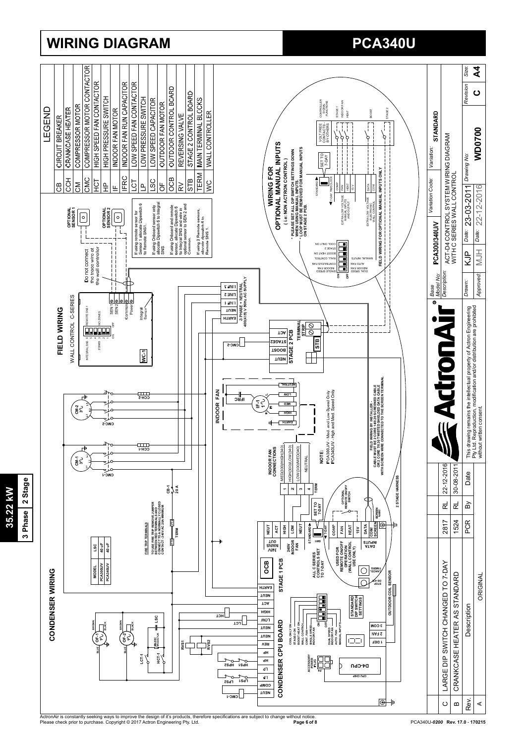

# **WIRING DIAGRAM PCA340U**

**35.22 kW 3 Phase 2 Stage**

35.22 kW

3 Phase 2 Stage

ActronAir is constantly seeking ways to improve the design of it's products, therefore specifications are subject to change without notice.<br>Please check prior to purchase. Copyright © 2017 Actron Engineering Pty. Ltd.